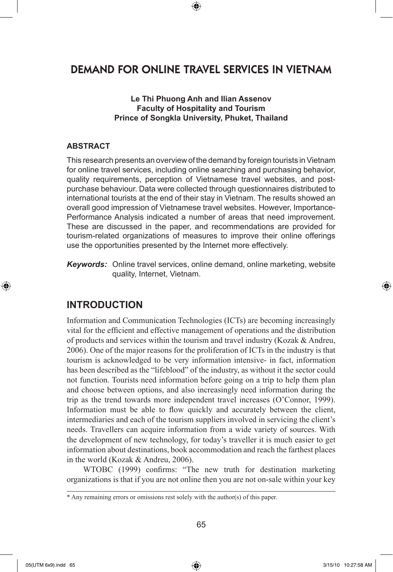# DEMAND FOR ONLINE TRAVEL SERVICES IN VIETNAM

⊕

**Le Thi Phuong Anh and Ilian Assenov Faculty of Hospitality and Tourism Prince of Songkla University, Phuket, Thailand**

#### **ABSTRACT**

This research presents an overview of the demand by foreign tourists in Vietnam for online travel services, including online searching and purchasing behavior, quality requirements, perception of Vietnamese travel websites, and postpurchase behaviour. Data were collected through questionnaires distributed to international tourists at the end of their stay in Vietnam. The results showed an overall good impression of Vietnamese travel websites. However, Importance-Performance Analysis indicated a number of areas that need improvement. These are discussed in the paper, and recommendations are provided for tourism-related organizations of measures to improve their online offerings use the opportunities presented by the Internet more effectively.

*Keywords:* Online travel services, online demand, online marketing, website quality, Internet, Vietnam.

## **INTRODUCTION**

Information and Communication Technologies (ICTs) are becoming increasingly vital for the efficient and effective management of operations and the distribution of products and services within the tourism and travel industry (Kozak & Andreu, 2006). One of the major reasons for the proliferation of ICTs in the industry is that tourism is acknowledged to be very information intensive- in fact, information has been described as the "lifeblood" of the industry, as without it the sector could not function. Tourists need information before going on a trip to help them plan and choose between options, and also increasingly need information during the trip as the trend towards more independent travel increases (O'Connor, 1999). Information must be able to flow quickly and accurately between the client, intermediaries and each of the tourism suppliers involved in servicing the client's needs. Travellers can acquire information from a wide variety of sources. With the development of new technology, for today's traveller it is much easier to get information about destinations, book accommodation and reach the farthest places in the world (Kozak & Andreu, 2006).

WTOBC (1999) confirms: "The new truth for destination marketing organizations is that if you are not online then you are not on-sale within your key

⊕

<sup>\*</sup> Any remaining errors or omissions rest solely with the author(s) of this paper.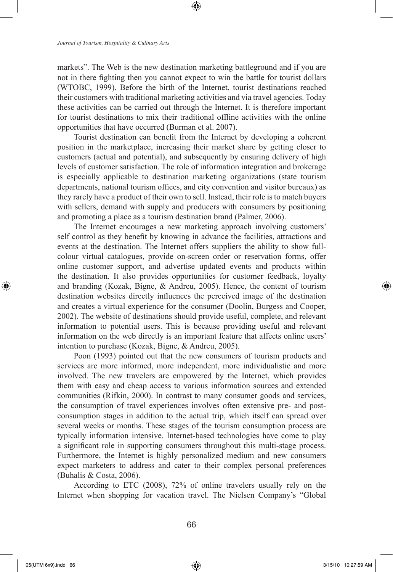markets". The Web is the new destination marketing battleground and if you are not in there fighting then you cannot expect to win the battle for tourist dollars (WTOBC, 1999). Before the birth of the Internet, tourist destinations reached their customers with traditional marketing activities and via travel agencies. Today these activities can be carried out through the Internet. It is therefore important for tourist destinations to mix their traditional offline activities with the online opportunities that have occurred (Burman et al. 2007).

Tourist destination can benefit from the Internet by developing a coherent position in the marketplace, increasing their market share by getting closer to customers (actual and potential), and subsequently by ensuring delivery of high levels of customer satisfaction. The role of information integration and brokerage is especially applicable to destination marketing organizations (state tourism departments, national tourism offices, and city convention and visitor bureaux) as they rarely have a product of their own to sell. Instead, their role is to match buyers with sellers, demand with supply and producers with consumers by positioning and promoting a place as a tourism destination brand (Palmer, 2006).

The Internet encourages a new marketing approach involving customers' self control as they benefit by knowing in advance the facilities, attractions and events at the destination. The Internet offers suppliers the ability to show fullcolour virtual catalogues, provide on-screen order or reservation forms, offer online customer support, and advertise updated events and products within the destination. It also provides opportunities for customer feedback, loyalty and branding (Kozak, Bigne, & Andreu, 2005). Hence, the content of tourism destination websites directly influences the perceived image of the destination and creates a virtual experience for the consumer (Doolin, Burgess and Cooper, 2002). The website of destinations should provide useful, complete, and relevant information to potential users. This is because providing useful and relevant information on the web directly is an important feature that affects online users' intention to purchase (Kozak, Bigne, & Andreu, 2005).

Poon (1993) pointed out that the new consumers of tourism products and services are more informed, more independent, more individualistic and more involved. The new travelers are empowered by the Internet, which provides them with easy and cheap access to various information sources and extended communities (Rifkin, 2000). In contrast to many consumer goods and services, the consumption of travel experiences involves often extensive pre- and postconsumption stages in addition to the actual trip, which itself can spread over several weeks or months. These stages of the tourism consumption process are typically information intensive. Internet-based technologies have come to play a significant role in supporting consumers throughout this multi-stage process. Furthermore, the Internet is highly personalized medium and new consumers expect marketers to address and cater to their complex personal preferences (Buhalis & Costa, 2006).

According to ETC (2008), 72% of online travelers usually rely on the Internet when shopping for vacation travel. The Nielsen Company's "Global

⊕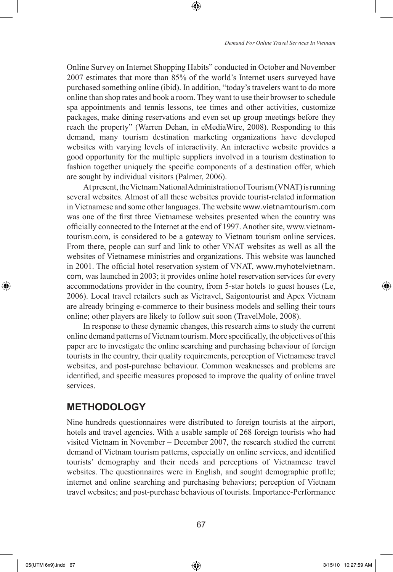Online Survey on Internet Shopping Habits" conducted in October and November 2007 estimates that more than 85% of the world's Internet users surveyed have purchased something online (ibid). In addition, "today's travelers want to do more online than shop rates and book a room. They want to use their browser to schedule spa appointments and tennis lessons, tee times and other activities, customize packages, make dining reservations and even set up group meetings before they reach the property" (Warren Dehan, in eMediaWire, 2008). Responding to this demand, many tourism destination marketing organizations have developed websites with varying levels of interactivity. An interactive website provides a good opportunity for the multiple suppliers involved in a tourism destination to fashion together uniquely the specific components of a destination offer, which are sought by individual visitors (Palmer, 2006).

⊕

At present, the Vietnam National Administration of Tourism (VNAT) is running several websites. Almost of all these websites provide tourist-related information in Vietnamese and some other languages. The website www.vietnamtourism.com was one of the first three Vietnamese websites presented when the country was officially connected to the Internet at the end of 1997. Another site, www.vietnamtourism.com, is considered to be a gateway to Vietnam tourism online services. From there, people can surf and link to other VNAT websites as well as all the websites of Vietnamese ministries and organizations. This website was launched in 2001. The official hotel reservation system of VNAT, www.myhotelvietnam. com, was launched in 2003; it provides online hotel reservation services for every accommodations provider in the country, from 5-star hotels to guest houses (Le, 2006). Local travel retailers such as Vietravel, Saigontourist and Apex Vietnam are already bringing e-commerce to their business models and selling their tours online; other players are likely to follow suit soon (TravelMole, 2008).

In response to these dynamic changes, this research aims to study the current online demand patterns of Vietnam tourism. More specifically, the objectives of this paper are to investigate the online searching and purchasing behaviour of foreign tourists in the country, their quality requirements, perception of Vietnamese travel websites, and post-purchase behaviour. Common weaknesses and problems are identified, and specific measures proposed to improve the quality of online travel services.

### **METHODOLOGY**

Nine hundreds questionnaires were distributed to foreign tourists at the airport, hotels and travel agencies. With a usable sample of 268 foreign tourists who had visited Vietnam in November – December 2007, the research studied the current demand of Vietnam tourism patterns, especially on online services, and identified tourists' demography and their needs and perceptions of Vietnamese travel websites. The questionnaires were in English, and sought demographic profile; internet and online searching and purchasing behaviors; perception of Vietnam travel websites; and post-purchase behavious of tourists. Importance-Performance

⊕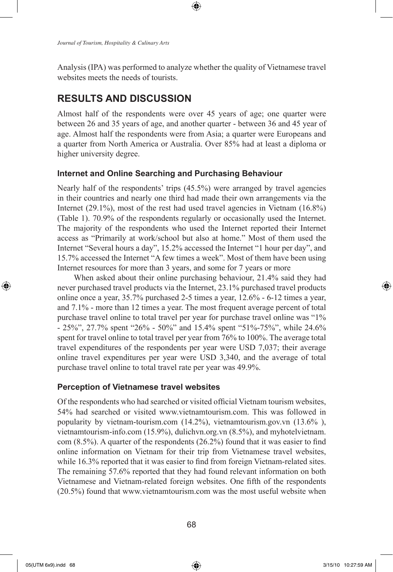*Journal of Tourism, Hospitality & Culinary Arts*

Analysis (IPA) was performed to analyze whether the quality of Vietnamese travel websites meets the needs of tourists.

⊕

# **RESULTS AND DISCUSSION**

Almost half of the respondents were over 45 years of age; one quarter were between 26 and 35 years of age, and another quarter - between 36 and 45 year of age. Almost half the respondents were from Asia; a quarter were Europeans and a quarter from North America or Australia. Over 85% had at least a diploma or higher university degree.

#### **Internet and Online Searching and Purchasing Behaviour**

Nearly half of the respondents' trips (45.5%) were arranged by travel agencies in their countries and nearly one third had made their own arrangements via the Internet (29.1%), most of the rest had used travel agencies in Vietnam (16.8%) (Table 1). 70.9% of the respondents regularly or occasionally used the Internet. The majority of the respondents who used the Internet reported their Internet access as "Primarily at work/school but also at home." Most of them used the Internet "Several hours a day", 15.2% accessed the Internet "1 hour per day", and 15.7% accessed the Internet "A few times a week". Most of them have been using Internet resources for more than 3 years, and some for 7 years or more

When asked about their online purchasing behaviour, 21.4% said they had never purchased travel products via the Internet, 23.1% purchased travel products online once a year, 35.7% purchased 2-5 times a year, 12.6% - 6-12 times a year, and 7.1% - more than 12 times a year. The most frequent average percent of total purchase travel online to total travel per year for purchase travel online was "1% - 25%", 27.7% spent "26% - 50%" and 15.4% spent "51%-75%", while 24.6% spent for travel online to total travel per year from 76% to 100%. The average total travel expenditures of the respondents per year were USD 7,037; their average online travel expenditures per year were USD 3,340, and the average of total purchase travel online to total travel rate per year was 49.9%.

#### **Perception of Vietnamese travel websites**

Of the respondents who had searched or visited official Vietnam tourism websites, 54% had searched or visited www.vietnamtourism.com. This was followed in popularity by vietnam-tourism.com (14.2%), vietnamtourism.gov.vn (13.6% ), vietnamtourism-info.com (15.9%), dulichvn.org.vn (8.5%), and myhotelvietnam. com (8.5%). A quarter of the respondents (26.2%) found that it was easier to find online information on Vietnam for their trip from Vietnamese travel websites, while 16.3% reported that it was easier to find from foreign Vietnam-related sites. The remaining 57.6% reported that they had found relevant information on both Vietnamese and Vietnam-related foreign websites. One fifth of the respondents (20.5%) found that www.vietnamtourism.com was the most useful website when

⊕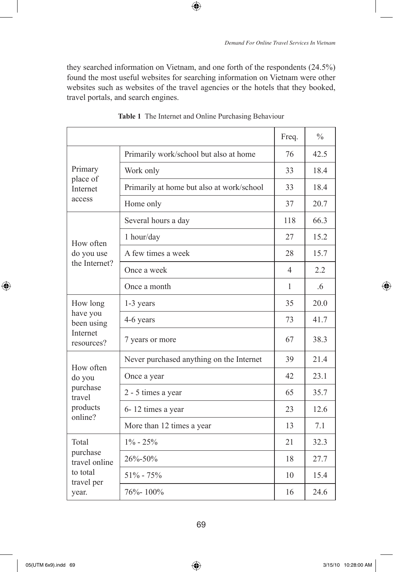they searched information on Vietnam, and one forth of the respondents (24.5%) found the most useful websites for searching information on Vietnam were other websites such as websites of the travel agencies or the hotels that they booked, travel portals, and search engines.

 $\bigoplus$ 

|                                                                  |                                           | Freq.                    | $\frac{0}{0}$  |
|------------------------------------------------------------------|-------------------------------------------|--------------------------|----------------|
|                                                                  | Primarily work/school but also at home    | 76                       | 42.5           |
| Primary                                                          | Work only                                 | 33                       | 18.4           |
| place of<br>Internet                                             | Primarily at home but also at work/school | 33                       | 18.4           |
| access                                                           | Home only                                 | 37                       | 20.7           |
|                                                                  | Several hours a day                       | 118                      | 66.3           |
| How often                                                        | 1 hour/day                                | 27                       | 15.2           |
| do you use<br>the Internet?                                      | A few times a week                        | 28                       | 15.7           |
|                                                                  | Once a week                               | $\overline{\mathcal{A}}$ | 22             |
|                                                                  | Once a month                              | $\mathbf{1}$             | 6 <sup>6</sup> |
| How long                                                         | 1-3 years                                 | 35                       | 20.0           |
| have you<br>been using<br>Internet<br>resources?                 | 4-6 years                                 | 73                       | 41.7           |
|                                                                  | 7 years or more                           | 67                       | 38.3           |
|                                                                  | Never purchased anything on the Internet  | 39                       | 21.4           |
| How often<br>do you<br>purchase<br>travel<br>products<br>online? | Once a year                               | 42                       | 23.1           |
|                                                                  | 2 - 5 times a year                        | 65                       | 35.7           |
|                                                                  | 6-12 times a year                         | 23                       | 12.6           |
|                                                                  | More than 12 times a year                 | 13                       | 7.1            |
| Total<br>purchase<br>travel online                               | $1\% - 25\%$                              | 21                       | 32.3           |
|                                                                  | 26%-50%                                   | 18                       | 27.7           |
| to total<br>travel per                                           | $51\% - 75\%$                             | 10                       | 15.4           |
| year.                                                            | $76\% - 100\%$                            | 16                       | 24.6           |

**Table 1** The Internet and Online Purchasing Behaviour

 $\bigoplus$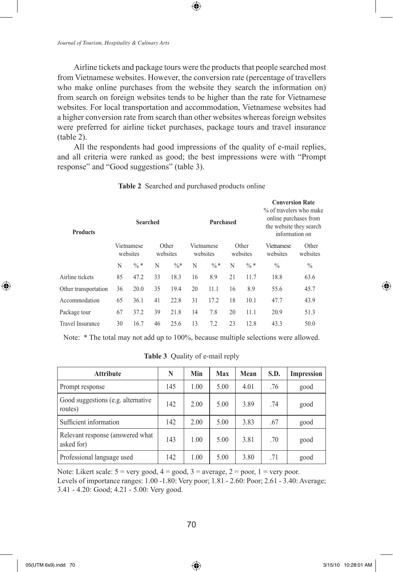Airline tickets and package tours were the products that people searched most from Vietnamese websites. However, the conversion rate (percentage of travellers who make online purchases from the website they search the information on) from search on foreign websites tends to be higher than the rate for Vietnamese websites. For local transportation and accommodation, Vietnamese websites had a higher conversion rate from search than other websites whereas foreign websites were preferred for airline ticket purchases, package tours and travel insurance (table 2).

⊕

All the respondents had good impressions of the quality of e-mail replies, and all criteria were ranked as good; the best impressions were with "Prompt response" and "Good suggestions" (table 3).

| <b>Products</b>      |    | <b>Searched</b>        |    |                   |    | Purchased              |    |                   | <b>Conversion Rate</b><br>% of travelers who make<br>online purchases from<br>the website they search<br>information on |                   |
|----------------------|----|------------------------|----|-------------------|----|------------------------|----|-------------------|-------------------------------------------------------------------------------------------------------------------------|-------------------|
|                      |    | Vietnamese<br>websites |    | Other<br>websites |    | Vietnamese<br>websites |    | Other<br>websites | Vietnamese<br>websites                                                                                                  | Other<br>websites |
|                      | N  | $\frac{0}{6}$ *        | N  | $\frac{0}{6}$ *   | N  | $\frac{0}{6}$ *        | N  | $\frac{0}{6}$ *   | $\frac{0}{0}$                                                                                                           | $\frac{0}{0}$     |
| Airline tickets      | 85 | 47.2                   | 33 | 18.3              | 16 | 8.9                    | 21 | 11.7              | 18.8                                                                                                                    | 63.6              |
| Other transportation | 36 | 20.0                   | 35 | 19.4              | 20 | 11.1                   | 16 | 8.9               | 55.6                                                                                                                    | 45.7              |
| Accommodation        | 65 | 36.1                   | 41 | 22.8              | 31 | 17.2                   | 18 | 10.1              | 47.7                                                                                                                    | 43.9              |
| Package tour         | 67 | 37.2                   | 39 | 21.8              | 14 | 7.8                    | 20 | 11.1              | 20.9                                                                                                                    | 51.3              |
| Travel Insurance     | 30 | 16.7                   | 46 | 25.6              | 13 | 7.2                    | 23 | 12.8              | 43.3                                                                                                                    | 50.0              |

**Table 2** Searched and purchased products online

Note: \* The total may not add up to 100%, because multiple selections were allowed.

**Table 3** Quality of e-mail reply

| <b>Attribute</b>                               | N   | Min  | Max  | Mean | S.D. | Impression |
|------------------------------------------------|-----|------|------|------|------|------------|
| Prompt response                                | 145 | 1.00 | 5.00 | 4.01 | .76  | good       |
| Good suggestions (e.g. alternative<br>routes)  | 142 | 2.00 | 5.00 | 3.89 | .74  | good       |
| Sufficient information                         | 142 | 2.00 | 5.00 | 3.83 | .67  | good       |
| Relevant response (answered what<br>asked for) | 143 | 1.00 | 5.00 | 3.81 | .70  | good       |
| Professional language used                     | 142 | 1.00 | 5.00 | 3.80 | .71  | good       |

Note: Likert scale:  $5 = \text{very good}, 4 = \text{good}, 3 = \text{average}, 2 = \text{poor}, 1 = \text{very poor}.$ Levels of importance ranges: 1.00 -1.80: Very poor; 1.81 - 2.60: Poor; 2.61 - 3.40: Average; 3.41 - 4.20: Good; 4.21 - 5.00: Very good.

 $\bigoplus$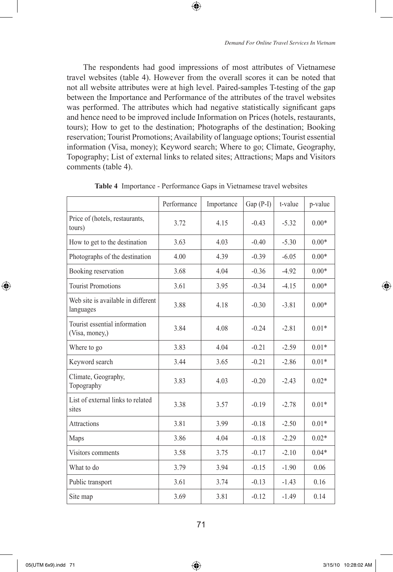The respondents had good impressions of most attributes of Vietnamese travel websites (table 4). However from the overall scores it can be noted that not all website attributes were at high level. Paired-samples T-testing of the gap between the Importance and Performance of the attributes of the travel websites was performed. The attributes which had negative statistically significant gaps and hence need to be improved include Information on Prices (hotels, restaurants, tours); How to get to the destination; Photographs of the destination; Booking reservation; Tourist Promotions; Availability of language options; Tourist essential information (Visa, money); Keyword search; Where to go; Climate, Geography, Topography; List of external links to related sites; Attractions; Maps and Visitors comments (table 4).

⊕

|                                                 | Performance | Importance | $Gap(P-I)$ | t-value | p-value |
|-------------------------------------------------|-------------|------------|------------|---------|---------|
| Price of (hotels, restaurants,<br>tours)        | 3.72        | 4.15       | $-0.43$    | $-5.32$ | $0.00*$ |
| How to get to the destination                   | 3.63        | 4.03       | $-0.40$    | $-5.30$ | $0.00*$ |
| Photographs of the destination                  | 4.00        | 4.39       | $-0.39$    | $-6.05$ | $0.00*$ |
| Booking reservation                             | 3.68        | 4.04       | $-0.36$    | $-4.92$ | $0.00*$ |
| <b>Tourist Promotions</b>                       | 3.61        | 3.95       | $-0.34$    | $-4.15$ | $0.00*$ |
| Web site is available in different<br>languages | 3.88        | 4.18       | $-0.30$    | $-3.81$ | $0.00*$ |
| Tourist essential information<br>(Visa, money,) | 3.84        | 4.08       | $-0.24$    | $-2.81$ | $0.01*$ |
| Where to go                                     | 3.83        | 4.04       | $-0.21$    | $-2.59$ | $0.01*$ |
| Keyword search                                  | 3.44        | 3.65       | $-0.21$    | $-2.86$ | $0.01*$ |
| Climate, Geography,<br>Topography               | 3.83        | 4.03       | $-0.20$    | $-2.43$ | $0.02*$ |
| List of external links to related<br>sites      | 3.38        | 3.57       | $-0.19$    | $-2.78$ | $0.01*$ |
| <b>Attractions</b>                              | 3.81        | 3.99       | $-0.18$    | $-2.50$ | $0.01*$ |
| Maps                                            | 3.86        | 4.04       | $-0.18$    | $-2.29$ | $0.02*$ |
| Visitors comments                               | 3.58        | 3.75       | $-0.17$    | $-2.10$ | $0.04*$ |
| What to do                                      | 3.79        | 3.94       | $-0.15$    | $-1.90$ | 0.06    |
| Public transport                                | 3.61        | 3.74       | $-0.13$    | $-1.43$ | 0.16    |
| Site map                                        | 3.69        | 3.81       | $-0.12$    | $-1.49$ | 0.14    |

**Table 4** Importance - Performance Gaps in Vietnamese travel websites

⊕

↔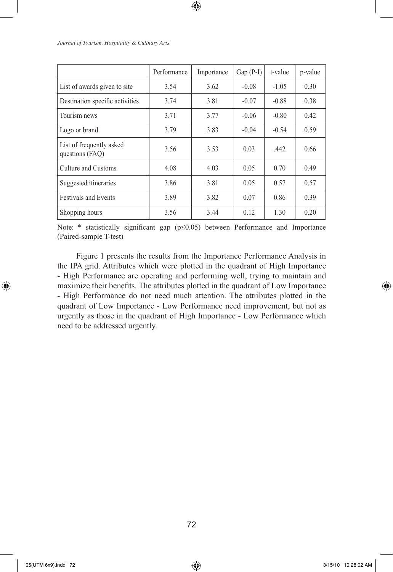|                                             | Performance | Importance | $Gap(P-I)$ | t-value | p-value |
|---------------------------------------------|-------------|------------|------------|---------|---------|
| List of awards given to site                | 3.54        | 3.62       | $-0.08$    | $-1.05$ | 0.30    |
| Destination specific activities             | 3.74        | 3.81       | $-0.07$    | $-0.88$ | 0.38    |
| Tourism news                                | 3.71        | 3.77       | $-0.06$    | $-0.80$ | 0.42    |
| Logo or brand                               | 3.79        | 3.83       | $-0.04$    | $-0.54$ | 0.59    |
| List of frequently asked<br>questions (FAQ) | 3.56        | 3.53       | 0.03       | .442    | 0.66    |
| Culture and Customs                         | 4.08        | 4.03       | 0.05       | 0.70    | 0.49    |
| Suggested itineraries                       | 3.86        | 3.81       | 0.05       | 0.57    | 0.57    |
| <b>Festivals and Events</b>                 | 3.89        | 3.82       | 0.07       | 0.86    | 0.39    |
| Shopping hours                              | 3.56        | 3.44       | 0.12       | 1.30    | 0.20    |

 $\bigoplus$ 

*Journal of Tourism, Hospitality & Culinary Arts*

Note: \* statistically significant gap (p≤0.05) between Performance and Importance (Paired-sample T-test)

 Figure 1 presents the results from the Importance Performance Analysis in the IPA grid. Attributes which were plotted in the quadrant of High Importance - High Performance are operating and performing well, trying to maintain and maximize their benefits. The attributes plotted in the quadrant of Low Importance - High Performance do not need much attention. The attributes plotted in the quadrant of Low Importance - Low Performance need improvement, but not as urgently as those in the quadrant of High Importance - Low Performance which need to be addressed urgently.

72

⊕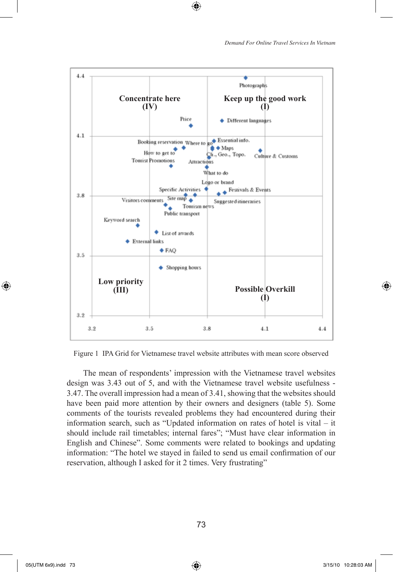



⊕

Figure 1 IPA Grid for Vietnamese travel website attributes with mean score observed

The mean of respondents' impression with the Vietnamese travel websites design was 3.43 out of 5, and with the Vietnamese travel website usefulness - 3.47. The overall impression had a mean of 3.41, showing that the websites should have been paid more attention by their owners and designers (table 5). Some comments of the tourists revealed problems they had encountered during their information search, such as "Updated information on rates of hotel is vital – it should include rail timetables; internal fares"; "Must have clear information in English and Chinese". Some comments were related to bookings and updating information: "The hotel we stayed in failed to send us email confirmation of our reservation, although I asked for it 2 times. Very frustrating"

⊕

05(UTM 6x9).indd 73 3/15/10 10:28:03 AM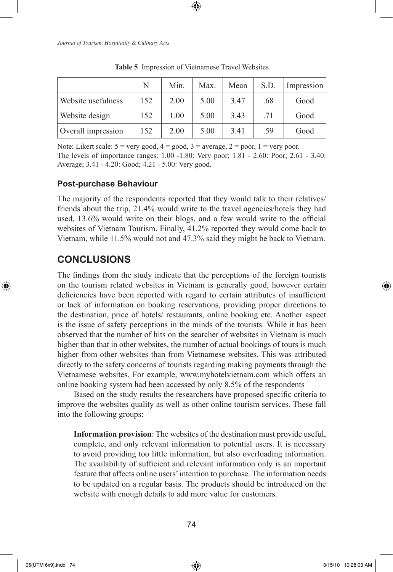|                    | N   | Min. | Max. | Mean | S.D. | Impression |
|--------------------|-----|------|------|------|------|------------|
| Website usefulness | 152 | 2.00 | 5.00 | 3.47 | .68  | Good       |
| Website design     | 152 | 1.00 | 5.00 | 3.43 | .71  | Good       |
| Overall impression | 152 | 2.00 | 5.00 | 3.41 | .59  | Good       |

**Table 5** Impression of Vietnamese Travel Websites

Note: Likert scale:  $5 = \text{very good}, 4 = \text{good}, 3 = \text{average}, 2 = \text{poor}, 1 = \text{very poor}.$ The levels of importance ranges: 1.00 -1.80: Very poor; 1.81 - 2.60: Poor; 2.61 - 3.40: Average; 3.41 - 4.20: Good; 4.21 - 5.00: Very good.

#### **Post-purchase Behaviour**

The majority of the respondents reported that they would talk to their relatives/ friends about the trip, 21.4% would write to the travel agencies/hotels they had used, 13.6% would write on their blogs, and a few would write to the official websites of Vietnam Tourism. Finally, 41.2% reported they would come back to Vietnam, while 11.5% would not and 47.3% said they might be back to Vietnam.

## **CONCLUSIONS**

⊕

The findings from the study indicate that the perceptions of the foreign tourists on the tourism related websites in Vietnam is generally good, however certain deficiencies have been reported with regard to certain attributes of insufficient or lack of information on booking reservations, providing proper directions to the destination, price of hotels/ restaurants, online booking etc. Another aspect is the issue of safety perceptions in the minds of the tourists. While it has been observed that the number of hits on the searcher of websites in Vietnam is much higher than that in other websites, the number of actual bookings of tours is much higher from other websites than from Vietnamese websites. This was attributed directly to the safety concerns of tourists regarding making payments through the Vietnamese websites. For example, www.myhotelvietnam.com which offers an online booking system had been accessed by only 8.5% of the respondents

Based on the study results the researchers have proposed specific criteria to improve the websites quality as well as other online tourism services. These fall into the following groups:

**Information provision**: The websites of the destination must provide useful, complete, and only relevant information to potential users. It is necessary to avoid providing too little information, but also overloading information. The availability of sufficient and relevant information only is an important feature that affects online users' intention to purchase. The information needs to be updated on a regular basis. The products should be introduced on the website with enough details to add more value for customers.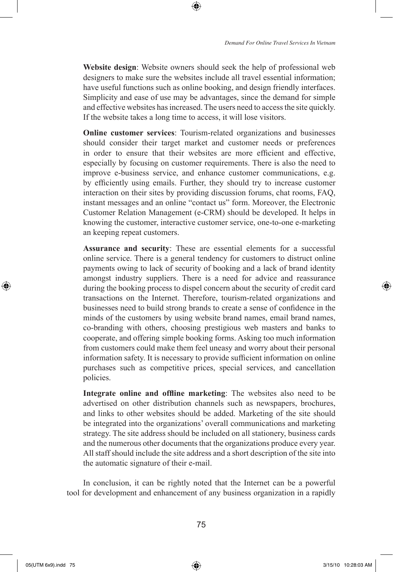**Website design**: Website owners should seek the help of professional web designers to make sure the websites include all travel essential information; have useful functions such as online booking, and design friendly interfaces. Simplicity and ease of use may be advantages, since the demand for simple and effective websites has increased. The users need to access the site quickly. If the website takes a long time to access, it will lose visitors.

⊕

**Online customer services**: Tourism-related organizations and businesses should consider their target market and customer needs or preferences in order to ensure that their websites are more efficient and effective, especially by focusing on customer requirements. There is also the need to improve e-business service, and enhance customer communications, e.g. by efficiently using emails. Further, they should try to increase customer interaction on their sites by providing discussion forums, chat rooms, FAQ, instant messages and an online "contact us" form. Moreover, the Electronic Customer Relation Management (e-CRM) should be developed. It helps in knowing the customer, interactive customer service, one-to-one e-marketing an keeping repeat customers.

**Assurance and security**: These are essential elements for a successful online service. There is a general tendency for customers to distruct online payments owing to lack of security of booking and a lack of brand identity amongst industry suppliers. There is a need for advice and reassurance during the booking process to dispel concern about the security of credit card transactions on the Internet. Therefore, tourism-related organizations and businesses need to build strong brands to create a sense of confidence in the minds of the customers by using website brand names, email brand names, co-branding with others, choosing prestigious web masters and banks to cooperate, and offering simple booking forms. Asking too much information from customers could make them feel uneasy and worry about their personal information safety. It is necessary to provide sufficient information on online purchases such as competitive prices, special services, and cancellation policies.

**Integrate online and offline marketing**: The websites also need to be advertised on other distribution channels such as newspapers, brochures, and links to other websites should be added. Marketing of the site should be integrated into the organizations' overall communications and marketing strategy. The site address should be included on all stationery, business cards and the numerous other documents that the organizations produce every year. All staff should include the site address and a short description of the site into the automatic signature of their e-mail.

In conclusion, it can be rightly noted that the Internet can be a powerful tool for development and enhancement of any business organization in a rapidly

⊕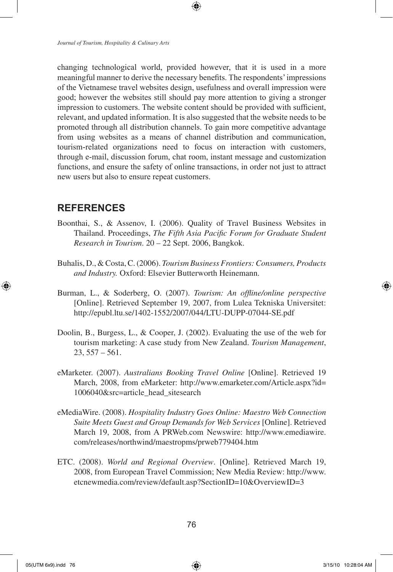*Journal of Tourism, Hospitality & Culinary Arts*

changing technological world, provided however, that it is used in a more meaningful manner to derive the necessary benefits. The respondents' impressions of the Vietnamese travel websites design, usefulness and overall impression were good; however the websites still should pay more attention to giving a stronger impression to customers. The website content should be provided with sufficient, relevant, and updated information. It is also suggested that the website needs to be promoted through all distribution channels. To gain more competitive advantage from using websites as a means of channel distribution and communication, tourism-related organizations need to focus on interaction with customers, through e-mail, discussion forum, chat room, instant message and customization functions, and ensure the safety of online transactions, in order not just to attract new users but also to ensure repeat customers.

### **REFERENCES**

- Boonthai, S., & Assenov, I. (2006). Quality of Travel Business Websites in Thailand. Proceedings, *The Fifth Asia Pacific Forum for Graduate Student Research in Tourism*. 20 – 22 Sept. 2006, Bangkok.
- Buhalis, D., & Costa, C. (2006). *Tourism Business Frontiers: Consumers, Products and Industry.* Oxford: Elsevier Butterworth Heinemann.
- Burman, L., & Soderberg, O. (2007). *Tourism: An offline/online perspective* [Online]. Retrieved September 19, 2007, from Lulea Tekniska Universitet: http://epubl.ltu.se/1402-1552/2007/044/LTU-DUPP-07044-SE.pdf
- Doolin, B., Burgess, L., & Cooper, J. (2002). Evaluating the use of the web for tourism marketing: A case study from New Zealand. *Tourism Management*,  $23, 557 - 561.$
- eMarketer. (2007). *Australians Booking Travel Online* [Online]. Retrieved 19 March, 2008, from eMarketer: http://www.emarketer.com/Article.aspx?id= 1006040&src=article\_head\_sitesearch
- eMediaWire. (2008). *Hospitality Industry Goes Online: Maestro Web Connection Suite Meets Guest and Group Demands for Web Services* [Online]. Retrieved March 19, 2008, from A PRWeb.com Newswire: http://www.emediawire. com/releases/northwind/maestropms/prweb779404.htm
- ETC. (2008). *World and Regional Overview*. [Online]. Retrieved March 19, 2008, from European Travel Commission; New Media Review: http://www. etcnewmedia.com/review/default.asp?SectionID=10&OverviewID=3

⊕